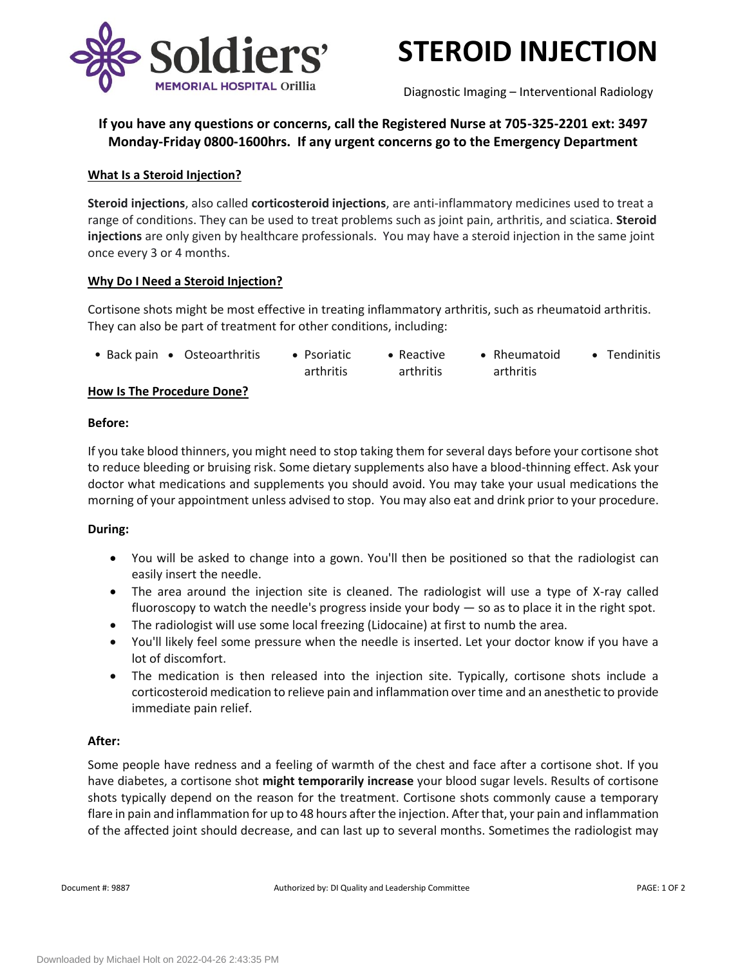



Diagnostic Imaging – Interventional Radiology

# **If you have any questions or concerns, call the Registered Nurse at 705-325-2201 ext: 3497 Monday-Friday 0800-1600hrs. If any urgent concerns go to the Emergency Department**

## **What Is a Steroid Injection?**

**Steroid injections**, also called **corticosteroid injections**, are anti-inflammatory medicines used to treat a range of conditions. They can be used to treat problems such as joint pain, arthritis, and sciatica. **Steroid injections** are only given by healthcare professionals. You may have a steroid injection in the same joint once every 3 or 4 months.

### **Why Do I Need a Steroid Injection?**

Cortisone shots might be most effective in treating inflammatory arthritis, such as rheumatoid arthritis. They can also be part of treatment for other conditions, including:

| • Back pain • Osteoarthritis | • Psoriatic | • Reactive | • Rheumatoid | • Tendinitis |
|------------------------------|-------------|------------|--------------|--------------|
|                              | arthritis   | arthritis  | arthritis    |              |

### **How Is The Procedure Done?**

### **Before:**

If you take blood thinners, you might need to stop taking them for several days before your cortisone shot to reduce bleeding or bruising risk. Some dietary supplements also have a blood-thinning effect. Ask your doctor what medications and supplements you should avoid. You may take your usual medications the morning of your appointment unless advised to stop. You may also eat and drink prior to your procedure.

# **During:**

- You will be asked to change into a gown. You'll then be positioned so that the radiologist can easily insert the needle.
- The area around the injection site is cleaned. The radiologist will use a type of X-ray called fluoroscopy to watch the needle's progress inside your body  $-$  so as to place it in the right spot.
- The radiologist will use some local freezing (Lidocaine) at first to numb the area.
- You'll likely feel some pressure when the needle is inserted. Let your doctor know if you have a lot of discomfort.
- The medication is then released into the injection site. Typically, cortisone shots include a corticosteroid medication to relieve pain and inflammation over time and an anesthetic to provide immediate pain relief.

# **After:**

Some people have redness and a feeling of warmth of the chest and face after a cortisone shot. If you have diabetes, a cortisone shot **might temporarily increase** your blood sugar levels. Results of cortisone shots typically depend on the reason for the treatment. Cortisone shots commonly cause a temporary flare in pain and inflammation for up to 48 hours after the injection. After that, your pain and inflammation of the affected joint should decrease, and can last up to several months. Sometimes the radiologist may